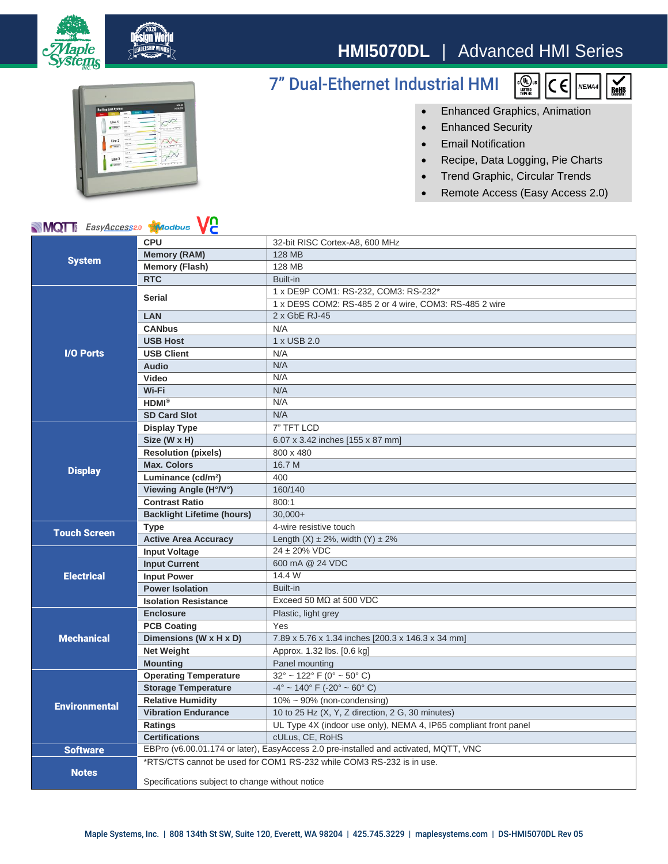

## **HMI5070DL** | Advanced HMI Series

7" Dual-Ethernet Industrial HMI





• Enhanced Graphics, Animation

- Enhanced Security
- Email Notification
- Recipe, Data Logging, Pie Charts
- Trend Graphic, Circular Trends
- Remote Access (Easy Access 2.0)

|  |  | <b>MQT</b> <i>EasyAccess20</i> Modbus VC |  |  |
|--|--|------------------------------------------|--|--|
|--|--|------------------------------------------|--|--|

| <b>System</b>        | <b>CPU</b>                                                                           | 32-bit RISC Cortex-A8, 600 MHz                                   |
|----------------------|--------------------------------------------------------------------------------------|------------------------------------------------------------------|
|                      | <b>Memory (RAM)</b>                                                                  | 128 MB                                                           |
|                      | <b>Memory (Flash)</b>                                                                | 128 MB                                                           |
|                      | <b>RTC</b>                                                                           | Built-in                                                         |
|                      | <b>Serial</b>                                                                        | 1 x DE9P COM1: RS-232, COM3: RS-232*                             |
|                      |                                                                                      | 1 x DE9S COM2: RS-485 2 or 4 wire, COM3: RS-485 2 wire           |
|                      | <b>LAN</b>                                                                           | 2 x GbE RJ-45                                                    |
|                      | <b>CANbus</b>                                                                        | N/A                                                              |
|                      | <b>USB Host</b>                                                                      | 1 x USB 2.0                                                      |
| <b>I/O Ports</b>     | <b>USB Client</b>                                                                    | N/A                                                              |
|                      | <b>Audio</b>                                                                         | N/A                                                              |
|                      | Video                                                                                | N/A                                                              |
|                      | Wi-Fi                                                                                | N/A                                                              |
|                      | $HDMI^{\otimes}$                                                                     | N/A                                                              |
|                      | <b>SD Card Slot</b>                                                                  | N/A                                                              |
|                      | <b>Display Type</b>                                                                  | 7" TFT LCD                                                       |
|                      | Size (W x H)                                                                         | 6.07 x 3.42 inches [155 x 87 mm]                                 |
|                      | <b>Resolution (pixels)</b>                                                           | 800 x 480                                                        |
| <b>Display</b>       | <b>Max. Colors</b>                                                                   | 16.7 M                                                           |
|                      | Luminance (cd/m <sup>2</sup> )                                                       | 400                                                              |
|                      | Viewing Angle (H°/V°)                                                                | 160/140                                                          |
|                      | <b>Contrast Ratio</b>                                                                | 800:1                                                            |
|                      | <b>Backlight Lifetime (hours)</b>                                                    | $30.000+$                                                        |
|                      | <b>Type</b>                                                                          | 4-wire resistive touch                                           |
| <b>Touch Screen</b>  | <b>Active Area Accuracy</b>                                                          | Length $(X) \pm 2\%$ , width $(Y) \pm 2\%$                       |
|                      | <b>Input Voltage</b>                                                                 | 24 ± 20% VDC                                                     |
|                      | <b>Input Current</b>                                                                 | 600 mA @ 24 VDC                                                  |
| <b>Electrical</b>    | <b>Input Power</b>                                                                   | 14.4 W                                                           |
|                      | <b>Power Isolation</b>                                                               | Built-in                                                         |
|                      | <b>Isolation Resistance</b>                                                          | Exceed 50 $M\Omega$ at 500 VDC                                   |
| <b>Mechanical</b>    | <b>Enclosure</b>                                                                     | Plastic, light grey                                              |
|                      | <b>PCB Coating</b>                                                                   | Yes                                                              |
|                      | Dimensions (W x H x D)                                                               | 7.89 x 5.76 x 1.34 inches [200.3 x 146.3 x 34 mm]                |
|                      | <b>Net Weight</b>                                                                    | Approx. 1.32 lbs. [0.6 kg]                                       |
|                      | <b>Mounting</b>                                                                      | Panel mounting                                                   |
| <b>Environmental</b> | <b>Operating Temperature</b>                                                         | $32^{\circ}$ ~ 122° F (0° ~ 50° C)                               |
|                      | <b>Storage Temperature</b>                                                           | $-4^{\circ}$ ~ 140° F (-20° ~ 60° C)                             |
|                      | <b>Relative Humidity</b>                                                             | $10\% \sim 90\%$ (non-condensing)                                |
|                      | <b>Vibration Endurance</b>                                                           | 10 to 25 Hz (X, Y, Z direction, 2 G, 30 minutes)                 |
|                      | Ratings                                                                              | UL Type 4X (indoor use only), NEMA 4, IP65 compliant front panel |
|                      | <b>Certifications</b>                                                                | cULus, CE, RoHS                                                  |
| <b>Software</b>      | EBPro (v6.00.01.174 or later), EasyAccess 2.0 pre-installed and activated, MQTT, VNC |                                                                  |
|                      | *RTS/CTS cannot be used for COM1 RS-232 while COM3 RS-232 is in use.                 |                                                                  |
| <b>Notes</b>         | Specifications subject to change without notice                                      |                                                                  |